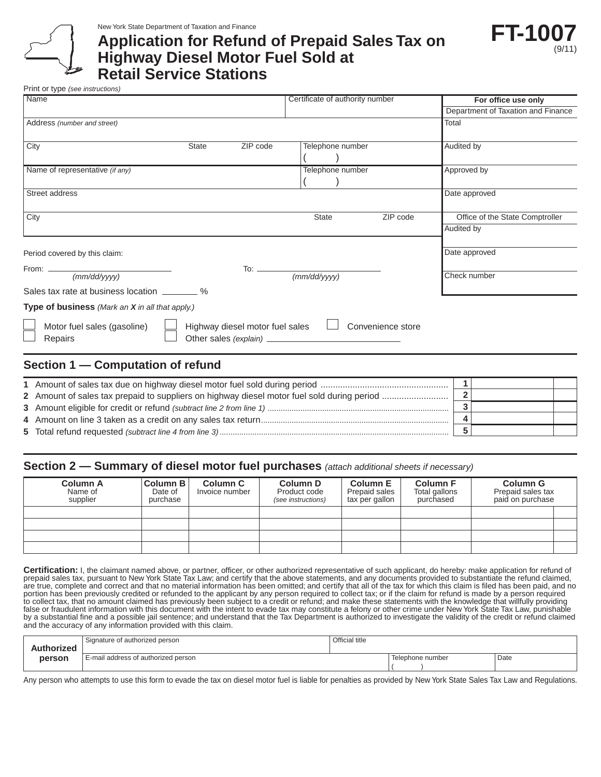New York State Department of Taxation and Finance

# **Application for Refund of Prepaid Sales Tax on Highway Diesel Motor Fuel Sold at Retail Service Stations**



Print or type *(see instructions)*

| Name                                            |              |                                 | Certificate of authority number | For office use only                |
|-------------------------------------------------|--------------|---------------------------------|---------------------------------|------------------------------------|
|                                                 |              |                                 |                                 | Department of Taxation and Finance |
| Address (number and street)                     |              |                                 |                                 | Total                              |
| City                                            | <b>State</b> | ZIP code                        | Telephone number                | Audited by                         |
| Name of representative (if any)                 |              |                                 | Telephone number                | Approved by                        |
| Street address                                  |              |                                 |                                 | Date approved                      |
| City                                            |              |                                 | ZIP code<br><b>State</b>        | Office of the State Comptroller    |
|                                                 |              |                                 |                                 | Audited by                         |
| Period covered by this claim:                   |              |                                 |                                 | Date approved                      |
| (mm/dd/yyyy)                                    |              |                                 | To:<br>(mm/dd/yyyy)             | Check number                       |
| Sales tax rate at business location ________ %  |              |                                 |                                 |                                    |
| Type of business (Mark an X in all that apply.) |              |                                 |                                 |                                    |
| Motor fuel sales (gasoline)<br>Repairs          |              | Highway diesel motor fuel sales | Convenience store               |                                    |
|                                                 |              |                                 |                                 |                                    |

## **Section 1 — Computation of refund**

#### **Section 2 — Summary of diesel motor fuel purchases** *(attach additional sheets if necessary)*

| <b>Column A</b><br>Name of<br>supplier | Column B<br>Date of<br>purchase | Column C<br>Invoice number | Column D<br>Product code<br>(see instructions) | <b>Column E</b><br>Prepaid sales<br>tax per gallon | <b>Column F</b><br>Total gallons<br>purchased | <b>Column G</b><br>Prepaid sales tax<br>paid on purchase |  |
|----------------------------------------|---------------------------------|----------------------------|------------------------------------------------|----------------------------------------------------|-----------------------------------------------|----------------------------------------------------------|--|
|                                        |                                 |                            |                                                |                                                    |                                               |                                                          |  |
|                                        |                                 |                            |                                                |                                                    |                                               |                                                          |  |
|                                        |                                 |                            |                                                |                                                    |                                               |                                                          |  |
|                                        |                                 |                            |                                                |                                                    |                                               |                                                          |  |

Certification: I, the claimant named above, or partner, officer, or other authorized representative of such applicant, do hereby: make application for refund of<br>prepaid sales tax, pursuant to New York State Tax Law; and ce are true, complete and correct and that no material information has been omitted; and certify that all of the tax for which this claim is filed has been paid, and no portion has been previously credited or refunded to the applicant by any person required to collect tax; or if the claim for refund is made by a person required to collect tax, that no amount claimed has previously been subject to a credit or refund; and make these statements with the knowledge that willfully providing false or fraudulent information with this document with the intent to evade tax may constitute a felony or other crime under New York State Tax Law, punishable by a substantial fine and a possible jail sentence; and understand that the Tax Department is authorized to investigate the validity of the credit or refund claimed and the accuracy of any information provided with this claim.

| <b>Authorized</b> | Signature of authorized person      | Official title |                  |      |
|-------------------|-------------------------------------|----------------|------------------|------|
| person            | E-mail address of authorized person |                | Telephone number | Date |

Any person who attempts to use this form to evade the tax on diesel motor fuel is liable for penalties as provided by New York State Sales Tax Law and Regulations.